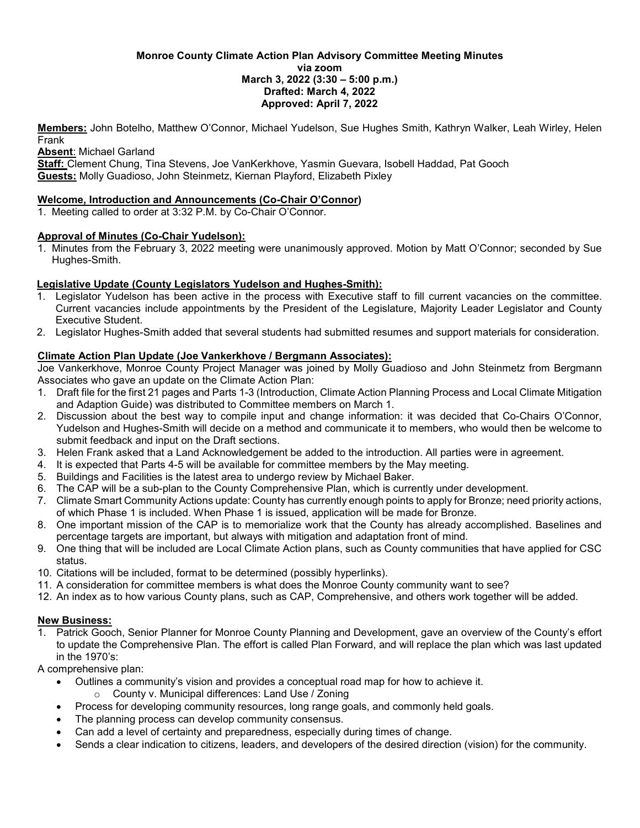#### **Monroe County Climate Action Plan Advisory Committee Meeting Minutes via zoom March 3, 2022 (3:30 – 5:00 p.m.) Drafted: March 4, 2022 Approved: April 7, 2022**

**Members:** John Botelho, Matthew O'Connor, Michael Yudelson, Sue Hughes Smith, Kathryn Walker, Leah Wirley, Helen Frank

**Absent**: Michael Garland

**Staff:** Clement Chung, Tina Stevens, Joe VanKerkhove, Yasmin Guevara, Isobell Haddad, Pat Gooch **Guests:** Molly Guadioso, John Steinmetz, Kiernan Playford, Elizabeth Pixley

#### **Welcome, Introduction and Announcements (Co-Chair O'Connor)**

1. Meeting called to order at 3:32 P.M. by Co-Chair O'Connor.

### **Approval of Minutes (Co-Chair Yudelson):**

1. Minutes from the February 3, 2022 meeting were unanimously approved. Motion by Matt O'Connor; seconded by Sue Hughes-Smith.

### **Legislative Update (County Legislators Yudelson and Hughes-Smith):**

- 1. Legislator Yudelson has been active in the process with Executive staff to fill current vacancies on the committee. Current vacancies include appointments by the President of the Legislature, Majority Leader Legislator and County Executive Student.
- 2. Legislator Hughes-Smith added that several students had submitted resumes and support materials for consideration.

# **Climate Action Plan Update (Joe Vankerkhove / Bergmann Associates):**

Joe Vankerkhove, Monroe County Project Manager was joined by Molly Guadioso and John Steinmetz from Bergmann Associates who gave an update on the Climate Action Plan:

- 1. Draft file for the first 21 pages and Parts 1-3 (Introduction, Climate Action Planning Process and Local Climate Mitigation and Adaption Guide) was distributed to Committee members on March 1.
- 2. Discussion about the best way to compile input and change information: it was decided that Co-Chairs O'Connor, Yudelson and Hughes-Smith will decide on a method and communicate it to members, who would then be welcome to submit feedback and input on the Draft sections.
- 3. Helen Frank asked that a Land Acknowledgement be added to the introduction. All parties were in agreement.
- 4. It is expected that Parts 4-5 will be available for committee members by the May meeting.
- 5. Buildings and Facilities is the latest area to undergo review by Michael Baker.
- 6. The CAP will be a sub-plan to the County Comprehensive Plan, which is currently under development.
- 7. Climate Smart Community Actions update: County has currently enough points to apply for Bronze; need priority actions, of which Phase 1 is included. When Phase 1 is issued, application will be made for Bronze.
- 8. One important mission of the CAP is to memorialize work that the County has already accomplished. Baselines and percentage targets are important, but always with mitigation and adaptation front of mind.
- 9. One thing that will be included are Local Climate Action plans, such as County communities that have applied for CSC status.
- 10. Citations will be included, format to be determined (possibly hyperlinks).
- 11. A consideration for committee members is what does the Monroe County community want to see?
- 12. An index as to how various County plans, such as CAP, Comprehensive, and others work together will be added.

# **New Business:**

1. Patrick Gooch, Senior Planner for Monroe County Planning and Development, gave an overview of the County's effort to update the Comprehensive Plan. The effort is called Plan Forward, and will replace the plan which was last updated in the 1970's:

A comprehensive plan:

- Outlines a community's vision and provides a conceptual road map for how to achieve it.
	- o County v. Municipal differences: Land Use / Zoning
- Process for developing community resources, long range goals, and commonly held goals.
- The planning process can develop community consensus.
- Can add a level of certainty and preparedness, especially during times of change.
- Sends a clear indication to citizens, leaders, and developers of the desired direction (vision) for the community.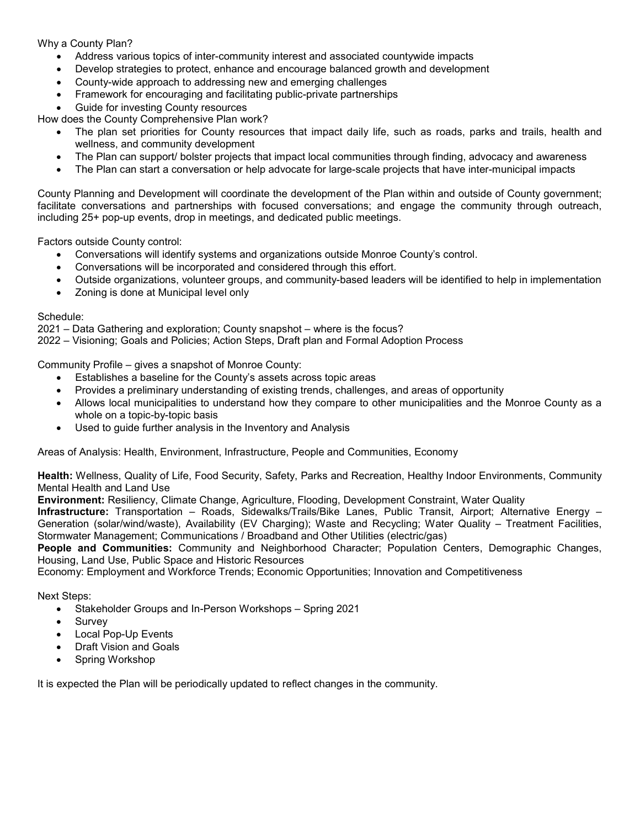# Why a County Plan?

- Address various topics of inter-community interest and associated countywide impacts
- Develop strategies to protect, enhance and encourage balanced growth and development
- County-wide approach to addressing new and emerging challenges
- Framework for encouraging and facilitating public-private partnerships
- Guide for investing County resources

How does the County Comprehensive Plan work?

- The plan set priorities for County resources that impact daily life, such as roads, parks and trails, health and wellness, and community development
- The Plan can support/ bolster projects that impact local communities through finding, advocacy and awareness
- The Plan can start a conversation or help advocate for large-scale projects that have inter-municipal impacts

County Planning and Development will coordinate the development of the Plan within and outside of County government; facilitate conversations and partnerships with focused conversations; and engage the community through outreach, including 25+ pop-up events, drop in meetings, and dedicated public meetings.

Factors outside County control:

- Conversations will identify systems and organizations outside Monroe County's control.
- Conversations will be incorporated and considered through this effort.
- Outside organizations, volunteer groups, and community-based leaders will be identified to help in implementation
- Zoning is done at Municipal level only

#### Schedule:

2021 – Data Gathering and exploration; County snapshot – where is the focus?

2022 – Visioning; Goals and Policies; Action Steps, Draft plan and Formal Adoption Process

Community Profile – gives a snapshot of Monroe County:

- Establishes a baseline for the County's assets across topic areas
- Provides a preliminary understanding of existing trends, challenges, and areas of opportunity
- Allows local municipalities to understand how they compare to other municipalities and the Monroe County as a whole on a topic-by-topic basis
- Used to guide further analysis in the Inventory and Analysis

Areas of Analysis: Health, Environment, Infrastructure, People and Communities, Economy

**Health:** Wellness, Quality of Life, Food Security, Safety, Parks and Recreation, Healthy Indoor Environments, Community Mental Health and Land Use

**Environment:** Resiliency, Climate Change, Agriculture, Flooding, Development Constraint, Water Quality

**Infrastructure:** Transportation – Roads, Sidewalks/Trails/Bike Lanes, Public Transit, Airport; Alternative Energy – Generation (solar/wind/waste), Availability (EV Charging); Waste and Recycling; Water Quality – Treatment Facilities, Stormwater Management; Communications / Broadband and Other Utilities (electric/gas)

**People and Communities:** Community and Neighborhood Character; Population Centers, Demographic Changes, Housing, Land Use, Public Space and Historic Resources

Economy: Employment and Workforce Trends; Economic Opportunities; Innovation and Competitiveness

Next Steps:

- Stakeholder Groups and In-Person Workshops Spring 2021
- **Survey**
- Local Pop-Up Events
- Draft Vision and Goals
- Spring Workshop

It is expected the Plan will be periodically updated to reflect changes in the community.